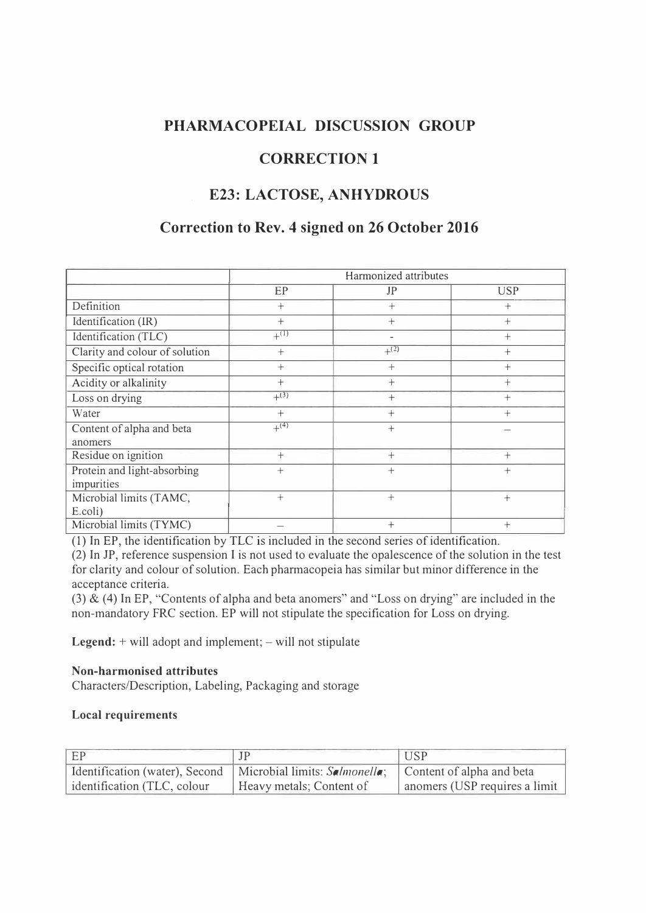### **PHARMACOPEIAL DISCUSSION GROUP**

# **CORRECTION 1**

# **E23: LACTOSE, ANHYDROUS**

# **Correction to Rev. 4 signed on 26 October 2016**

|                                | Harmonized attributes |           |            |
|--------------------------------|-----------------------|-----------|------------|
|                                | EP                    | JP        | <b>USP</b> |
| Definition                     | $+$                   | $^{+}$    | $^{+}$     |
| Identification (IR)            | $+$                   | $+$       | $+$        |
| Identification (TLC)           | $+^{(1)}$             |           | $+$        |
| Clarity and colour of solution | $^{+}$                | $+^{(2)}$ | $+$        |
| Specific optical rotation      | $^{+}$                | $+$       | $+$        |
| Acidity or alkalinity          | $^{+}$                | $^{+}$    | $^{+}$     |
| Loss on drying                 | $+^{(3)}$             | $^{+}$    | $^{+}$     |
| Water                          | $+$                   | $^{+}$    | $+$        |
| Content of alpha and beta      | $+^{(4)}$             | $+$       |            |
| anomers                        |                       |           |            |
| Residue on ignition            | $+$                   | $^{+}$    | $+$        |
| Protein and light-absorbing    | $+$                   | $+$       | $+$        |
| impurities                     |                       |           |            |
| Microbial limits (TAMC,        | $+$                   | $+$       | $^{+}$     |
| E.coli)                        |                       |           |            |
| Microbial limits (TYMC)        |                       | $^{+}$    | $^{+}$     |

(1) In EP, the identification by TLC is included in the second series of identification.

(2) In JP, reference suspension I is not used to evaluate the opalescence of the solution in the test for clarity and colour of solution. Each pharmacopeia has similar but minor difference in the acceptance criteria.

(3)  $\&$  (4) In EP, "Contents of alpha and beta anomers" and "Loss on drying" are included in the non-mandatory FRC section. EP will not stipulate the specification for Loss on drying.

Legend: + will adopt and implement; - will not stipulate

### **Non-harmonised attributes**

Characters/Description, Labeling, Packaging and storage

### **Local requirements**

| E                          |                                                                                            | <b>USP</b>                    |
|----------------------------|--------------------------------------------------------------------------------------------|-------------------------------|
|                            | Identification (water), Second   Microbial limits: Salmonella;   Content of alpha and beta |                               |
| dentification (TLC, colour | Heavy metals; Content of                                                                   | anomers (USP requires a limit |